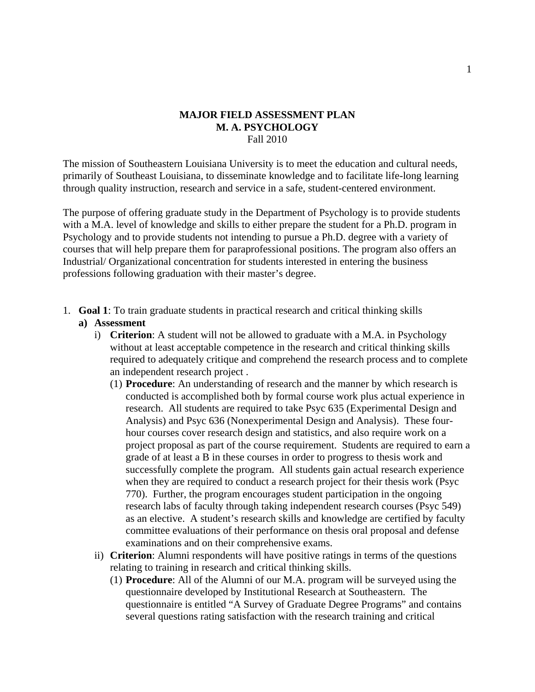## **MAJOR FIELD ASSESSMENT PLAN M. A. PSYCHOLOGY**  Fall 2010

The mission of Southeastern Louisiana University is to meet the education and cultural needs, primarily of Southeast Louisiana, to disseminate knowledge and to facilitate life-long learning through quality instruction, research and service in a safe, student-centered environment.

The purpose of offering graduate study in the Department of Psychology is to provide students with a M.A. level of knowledge and skills to either prepare the student for a Ph.D. program in Psychology and to provide students not intending to pursue a Ph.D. degree with a variety of courses that will help prepare them for paraprofessional positions. The program also offers an Industrial/ Organizational concentration for students interested in entering the business professions following graduation with their master's degree.

1. **Goal 1**: To train graduate students in practical research and critical thinking skills

## **a) Assessment**

- i) **Criterion**: A student will not be allowed to graduate with a M.A. in Psychology without at least acceptable competence in the research and critical thinking skills required to adequately critique and comprehend the research process and to complete an independent research project .
	- (1) **Procedure**: An understanding of research and the manner by which research is conducted is accomplished both by formal course work plus actual experience in research. All students are required to take Psyc 635 (Experimental Design and Analysis) and Psyc 636 (Nonexperimental Design and Analysis). These fourhour courses cover research design and statistics, and also require work on a project proposal as part of the course requirement. Students are required to earn a grade of at least a B in these courses in order to progress to thesis work and successfully complete the program. All students gain actual research experience when they are required to conduct a research project for their thesis work (Psyc 770). Further, the program encourages student participation in the ongoing research labs of faculty through taking independent research courses (Psyc 549) as an elective. A student's research skills and knowledge are certified by faculty committee evaluations of their performance on thesis oral proposal and defense examinations and on their comprehensive exams.
- ii) **Criterion**: Alumni respondents will have positive ratings in terms of the questions relating to training in research and critical thinking skills.
	- (1) **Procedure**: All of the Alumni of our M.A. program will be surveyed using the questionnaire developed by Institutional Research at Southeastern. The questionnaire is entitled "A Survey of Graduate Degree Programs" and contains several questions rating satisfaction with the research training and critical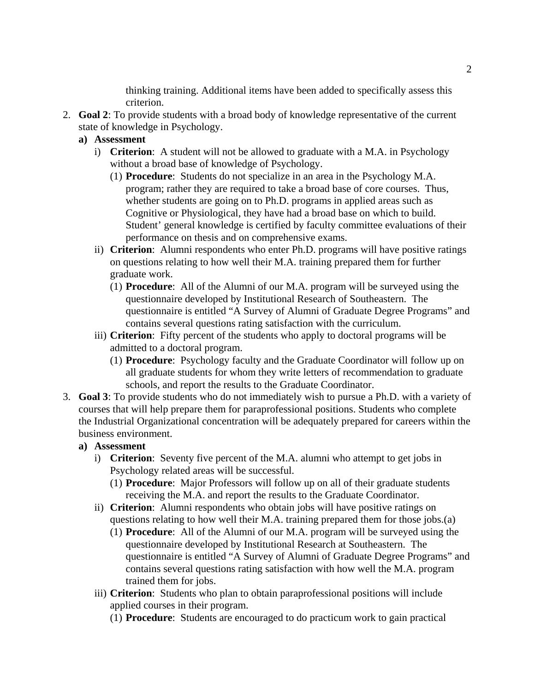thinking training. Additional items have been added to specifically assess this criterion.

- 2. **Goal 2**: To provide students with a broad body of knowledge representative of the current state of knowledge in Psychology.
	- **a) Assessment** 
		- i) **Criterion**: A student will not be allowed to graduate with a M.A. in Psychology without a broad base of knowledge of Psychology.
			- (1) **Procedure**: Students do not specialize in an area in the Psychology M.A. program; rather they are required to take a broad base of core courses. Thus, whether students are going on to Ph.D. programs in applied areas such as Cognitive or Physiological, they have had a broad base on which to build. Student' general knowledge is certified by faculty committee evaluations of their performance on thesis and on comprehensive exams.
		- ii) **Criterion**: Alumni respondents who enter Ph.D. programs will have positive ratings on questions relating to how well their M.A. training prepared them for further graduate work.
			- (1) **Procedure**: All of the Alumni of our M.A. program will be surveyed using the questionnaire developed by Institutional Research of Southeastern. The questionnaire is entitled "A Survey of Alumni of Graduate Degree Programs" and contains several questions rating satisfaction with the curriculum.
		- iii) **Criterion**: Fifty percent of the students who apply to doctoral programs will be admitted to a doctoral program.
			- (1) **Procedure**: Psychology faculty and the Graduate Coordinator will follow up on all graduate students for whom they write letters of recommendation to graduate schools, and report the results to the Graduate Coordinator.
- 3. **Goal 3**: To provide students who do not immediately wish to pursue a Ph.D. with a variety of courses that will help prepare them for paraprofessional positions. Students who complete the Industrial Organizational concentration will be adequately prepared for careers within the business environment.

## **a) Assessment**

- i) **Criterion**: Seventy five percent of the M.A. alumni who attempt to get jobs in Psychology related areas will be successful.
	- (1) **Procedure**: Major Professors will follow up on all of their graduate students receiving the M.A. and report the results to the Graduate Coordinator.
- ii) **Criterion**: Alumni respondents who obtain jobs will have positive ratings on questions relating to how well their M.A. training prepared them for those jobs.(a)
	- (1) **Procedure**: All of the Alumni of our M.A. program will be surveyed using the questionnaire developed by Institutional Research at Southeastern. The questionnaire is entitled "A Survey of Alumni of Graduate Degree Programs" and contains several questions rating satisfaction with how well the M.A. program trained them for jobs.
- iii) **Criterion**: Students who plan to obtain paraprofessional positions will include applied courses in their program.
	- (1) **Procedure**: Students are encouraged to do practicum work to gain practical